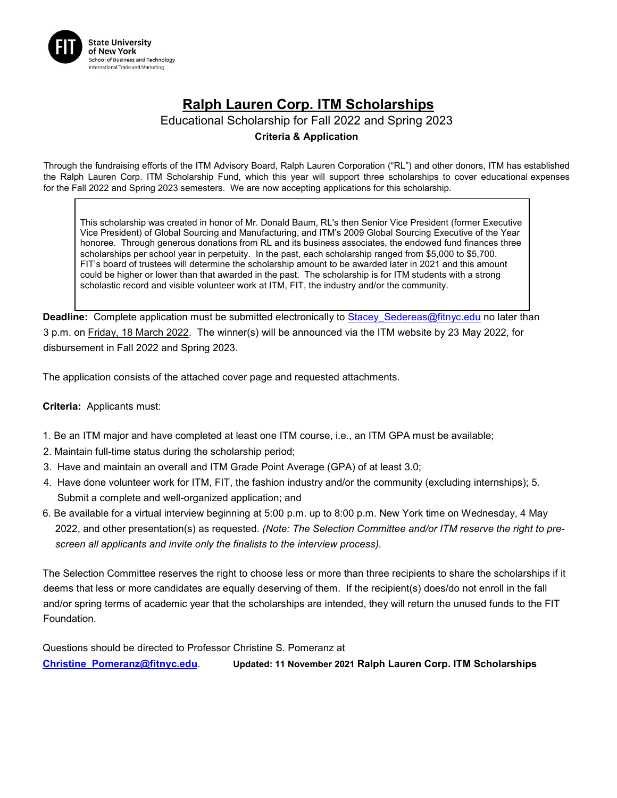

## **Ralph Lauren Corp. ITM Scholarships**

Educational Scholarship for Fall 2022 and Spring 2023

## **Criteria & Application**

Through the fundraising efforts of the ITM Advisory Board, Ralph Lauren Corporation ("RL") and other donors, ITM has established the Ralph Lauren Corp. ITM Scholarship Fund, which this year will support three scholarships to cover educational expenses for the Fall 2022 and Spring 2023 semesters. We are now accepting applications for this scholarship.

This scholarship was created in honor of Mr. Donald Baum, RL's then Senior Vice President (former Executive Vice President) of Global Sourcing and Manufacturing, and ITM's 2009 Global Sourcing Executive of the Year honoree. Through generous donations from RL and its business associates, the endowed fund finances three scholarships per school year in perpetuity. In the past, each scholarship ranged from \$5,000 to \$5,700. FIT's board of trustees will determine the scholarship amount to be awarded later in 2021 and this amount could be higher or lower than that awarded in the past. The scholarship is for ITM students with a strong scholastic record and visible volunteer work at ITM, FIT, the industry and/or the community.

**Deadline:** Complete application must be submitted electronically to Stacey Sedereas@fitnyc.edu no later than 3 p.m. on Friday, 18 March 2022. The winner(s) will be announced via the ITM website by 23 May 2022, for disbursement in Fall 2022 and Spring 2023.

The application consists of the attached cover page and requested attachments.

**Criteria:** Applicants must:

- 1. Be an ITM major and have completed at least one ITM course, i.e., an ITM GPA must be available;
- 2. Maintain full-time status during the scholarship period;
- 3. Have and maintain an overall and ITM Grade Point Average (GPA) of at least 3.0;
- 4. Have done volunteer work for ITM, FIT, the fashion industry and/or the community (excluding internships); 5. Submit a complete and well-organized application; and
- 6. Be available for a virtual interview beginning at 5:00 p.m. up to 8:00 p.m. New York time on Wednesday, 4 May 2022, and other presentation(s) as requested. *(Note: The Selection Committee and/or ITM reserve the right to prescreen all applicants and invite only the finalists to the interview process).*

The Selection Committee reserves the right to choose less or more than three recipients to share the scholarships if it deems that less or more candidates are equally deserving of them. If the recipient(s) does/do not enroll in the fall and/or spring terms of academic year that the scholarships are intended, they will return the unused funds to the FIT Foundation.

Questions should be directed to Professor Christine S. Pomeranz at **Christine\_Pomeranz@fitnyc.edu**. **Updated: 11 November 2021 Ralph Lauren Corp. ITM Scholarships**